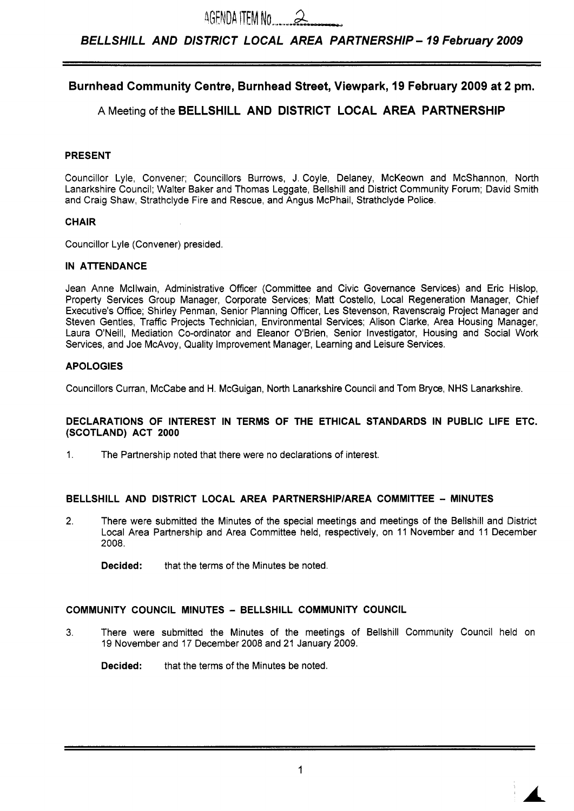# *BELLSHILL AND DISTRICT LOCAL AREA PARTNERSHIP- 19 February 2009*

# **Burnhead Community Centre, Burnhead Street, Viewpark, 19 February 2009 at 2 pm.**

# **A** Meeting of the **BELLSHILL AND DISTRICT LOCAL AREA PARTNERSHIP**

# **PRESENT**

Councillor Lyle, Convener; Councillors Burrows, J. Coyle, Delaney, McKeown and McShannon, North Lanarkshire Council; Walter Baker and Thomas Leggate, Bellshill and District Community Forum; David Smith and Craig Shaw, Strathclyde Fire and Rescue, and Angus McPhail, Strathclyde Police.

### **CHAIR**

Councillor Lyle (Convener) presided.

### **IN ATTENDANCE**

Jean Anne Mcllwain, Administrative Officer (Committee and Civic Governance Services) and Eric Hislop, Property Services Group Manager, Corporate Services; Matt Costello, Local Regeneration Manager, Chief Executive's Office; Shirley Penman, Senior Planning Officer, Les Stevenson, Ravenscraig Project Manager and Steven Gentles, Traffic Projects Technician, Environmental Services; Alison Clarke, Area Housing Manager, Laura O'Neill, Mediation Co-ordinator and Eleanor O'Brien, Senior Investigator, Housing and Social Work Services, and Joe McAvoy, Quality Improvement Manager, Learning and Leisure Services.

# **APOLOGIES**

Councillors Curran, McCabe and H. McGuigan, North Lanarkshire Council and Tom Bryce, NHS Lanarkshire.

### **DECLARATIONS OF INTEREST IN TERMS OF THE ETHICAL STANDARDS IN PUBLIC LIFE ETC. (SCOTLAND) ACT 2000**

1. The Partnership noted that there were no declarations of interest.

# **BELLSHILL AND DISTRICT LOCAL AREA PARTNERSHlPlAREA COMMITTEE** - **MINUTES**

2. There were submitted the Minutes of the special meetings and meetings of the Bellshill and District Local Area Partnership and Area Committee held, respectively, on 11 November and 11 December 2008.

**Decided:** that the terms of the Minutes be noted.

# **COMMUNITY COUNCIL MINUTES** - **BELLSHILL COMMUNITY COUNCIL**

3. There were submitted the Minutes of the meetings of Bellshill Community Council held on 19 November and 17 December 2008 and 21 January 2009.

**Decided:** that the terms of the Minutes be noted.

*IA*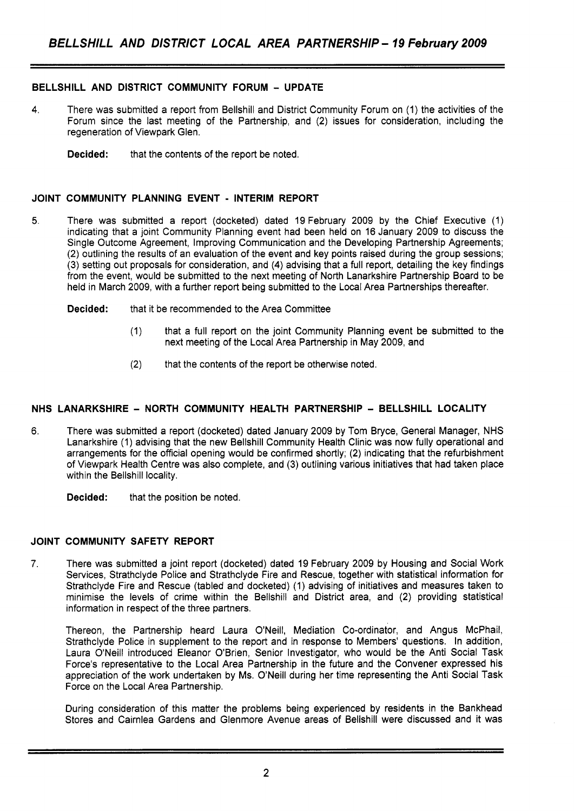# **BELLSHILL AND DISTRICT COMMUNITY FORUM** - **UPDATE**

- **4.** There was submitted a report from Bellshill and District Community Forum on (1) the activities of the Forum since the last meeting of the Partnership, and (2) issues for consideration, including the regeneration of Viewpark Glen.
	- **Decided:** that the contents of the report be noted.

## **JOINT COMMUNITY PLANNING EVENT** - **INTERIM REPORT**

- 5. There was submitted a report (docketed) dated 19 February 2009 by the Chief Executive (1) indicating that a joint Community Planning event had been held on 16 January 2009 to discuss the Single Outcome Agreement, Improving Communication and the Developing Partnership Agreements; (2) outlining the results of an evaluation of the event and key points raised during the group sessions; (3) setting out proposals for consideration, and **(4)** advising that a full report, detailing the key findings from the event, would be submitted to the next meeting of North Lanarkshire Partnership Board to be held in March 2009, with a further report being submitted to the Local Area Partnerships thereafter.
	- **Decided:** that it be recommended to the Area Committee
		- (1) that a full report on the joint Community Planning event be submitted to the next meeting of the Local Area Partnership in May 2009, and
		- (2) that the contents of the report be otherwise noted.

# **NHS LANARKSHIRE** - **NORTH COMMUNITY HEALTH PARTNERSHIP** - **BELLSHILL LOCALITY**

6. There was submitted a report (docketed) dated January 2009 by Tom Bryce, General Manager, NHS Lanarkshire (1) advising that the new Bellshill Community Health Clinic was now fully operational and arrangements for the official opening would be confirmed shortly; (2) indicating that the refurbishment of Viewpark Health Centre was also complete, and (3) outlining various initiatives that had taken place within the Bellshill locality.

**Decided:** that the position be noted.

# **JOINT COMMUNITY SAFETY REPORT**

**7.** There was submitted a joint report (docketed) dated 19 February 2009 by Housing and Social Work Services, Strathclyde Police and Strathclyde Fire and Rescue, together with statistical information for Strathclyde Fire and Rescue (tabled and docketed) (1) advising of initiatives and measures taken to minimise the levels of crime within the Bellshill and District area, and **(2)** providing statistical information in respect of the three partners.

Thereon, the Partnership heard Laura O'Neill, Mediation Co-ordinator, and Angus McPhail, Strathclyde Police in supplement to the report and in response to Members' questions. In addition, Laura O'Neill introduced Eleanor O'Brien, Senior Investigator, who would be the Anti Social Task Force's representative to the Local Area Partnership in the future and the Convener expressed his appreciation of the work undertaken by Ms. O'Neill during her time representing the Anti Social Task Force on the Local Area Partnership.

During consideration of this matter the problems being experienced by residents in the Bankhead Stores and Cairnlea Gardens and Glenmore Avenue areas of Bellshill were discussed and it was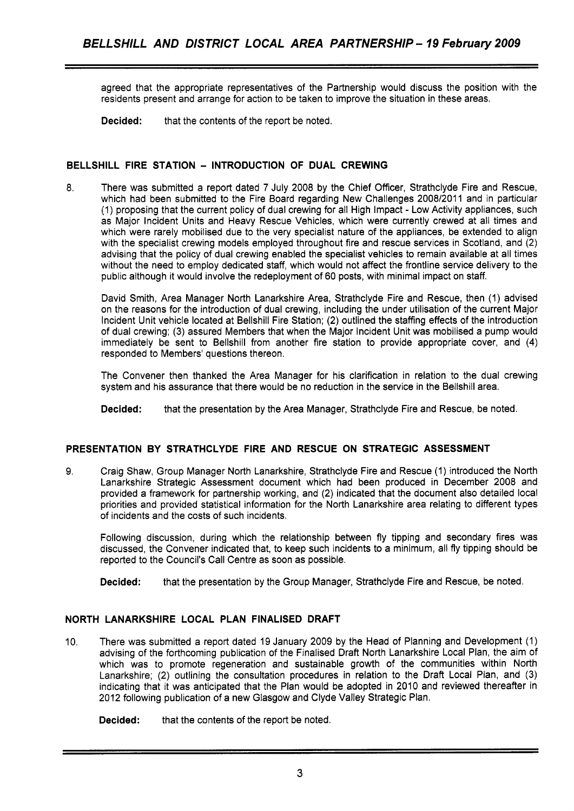agreed that the appropriate representatives of the Partnership would discuss the position with the residents present and arrange for action to be taken to improve the situation in these areas.

**Decided:** that the contents of the report be noted.

# **BELLSHILL FIRE STATION** - **INTRODUCTION OF DUAL CREWING**

8. There was submitted a report dated 7 July 2008 by the Chief Officer, Strathclyde Fire and Rescue, which had been submitted to the Fire Board regarding New Challenges 2008/2011 and in particular (1) proposing that the current policy of dual crewing for all High Impact - Low Activity appliances, such as Major Incident Units and Heavy Rescue Vehicles, which were currently crewed at all times and which were rarely mobilised due to the very specialist nature of the appliances, be extended to align with the specialist crewing models employed throughout fire and rescue services in Scotland, and (2) advising that the policy of dual crewing enabled the specialist vehicles to remain available at all times without the need to employ dedicated staff, which would not affect the frontline service delivery to the public although it would involve the redeployment of 60 posts, with minimal impact on staff.

David Smith, Area Manager North Lanarkshire Area, Strathclyde Fire and Rescue, then (1) advised on the reasons for the introduction of dual crewing, including the under utilisation of the current Major Incident Unit vehicle located at Bellshill Fire Station; (2) outlined the staffing effects of the introduction of dual crewing; (3) assured Members that when the Major Incident Unit was mobilised a pump would immediately be sent to Bellshill from another fire station to provide appropriate cover, and **(4)**  responded to Members' questions thereon.

The Convener then thanked the Area Manager for his clarification in relation to the dual crewing system and his assurance that there would be no reduction in the service in the Bellshill area.

**Decided:** that the presentation by the Area Manager, Strathclyde Fire and Rescue, be noted.

# **PRESENTATION BY STRATHCLYDE FIRE AND RESCUE ON STRATEGIC ASSESSMENT**

9. Craig Shaw, Group Manager North Lanarkshire, Strathclyde Fire and Rescue (1) introduced the North Lanarkshire Strategic Assessment document which had been produced in December 2008 and provided a framework for partnership working, and (2) indicated that the document also detailed local priorities and provided statistical information for the North Lanarkshire area relating to different types of incidents and the costs of such incidents.

Following discussion, during which the relationship between fly tipping and secondary fires was discussed, the Convener indicated that, to keep such incidents to a minimum, all fly tipping should be reported to the Council's Call Centre as soon as possible.

**Decided:** that the presentation by the Group Manager, Strathclyde Fire and Rescue, be noted.

# **NORTH LANARKSHIRE LOCAL PLAN FINALISED DRAFT**

10. There was submitted a report dated 19 January 2009 by the Head of Planning and Development (1) advising of the forthcoming publication of the Finalised Draft North Lanarkshire Local Plan, the aim of which was to promote regeneration and sustainable growth of the communities within North Lanarkshire; (2) outlining the consultation procedures in relation to the Draft Local Plan, and (3) indicating that it was anticipated that the Plan would be adopted in 2010 and reviewed thereafter in 2012 following publication of a new Glasgow and Clyde Valley Strategic Plan.

**Decided:** that the contents of the report be noted.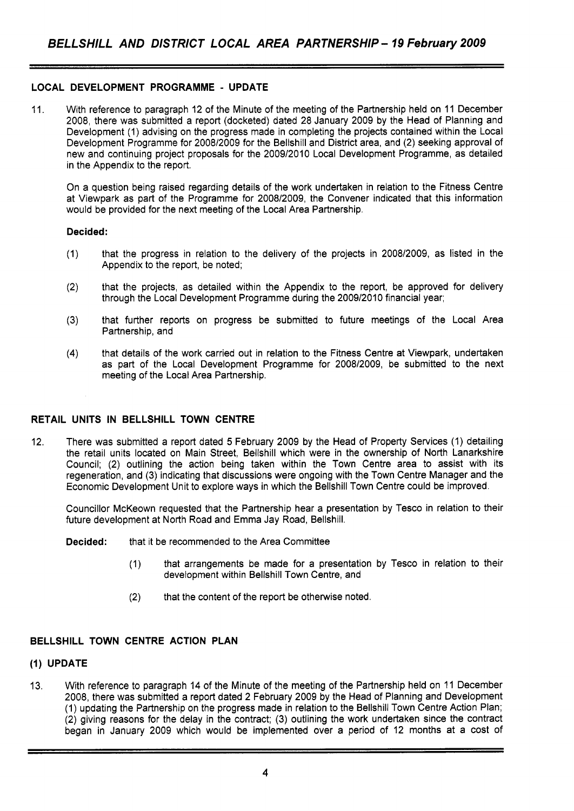# **LOCAL DEVELOPMENT PROGRAMME** - **UPDATE**

11. With reference to paragraph 12 of the Minute of the meeting of the Partnership held on 11 December 2008, there was submitted a report (docketed) dated 28 January 2009 by the Head of Planning and Development (1) advising on the progress made in completing the projects contained within the Local Development Programme for 2008/2009 for the Bellshill and District area, and (2) seeking approval of new and continuing project proposals for the 2009/2010 Local Development Programme, as detailed in the Appendix to the report.

On a question being raised regarding details of the work undertaken in relation to the Fitness Centre at Viewpark as part of the Programme for 2008/2009, the Convener indicated that this information would be provided for the next meeting of the Local Area Partnership.

### **Decided:**

- (1) that the progress in relation to the delivery of the projects in 2008/2009, as listed in the Appendix to the report, be noted;
- (2) that the projects, as detailed within the Appendix to the report, be approved for delivery through the Local Development Programme during the 2009/2010 financial year;
- (3) that further reports on progress be submitted to future meetings of the Local Area Partnership, and
- **(4)** that details of the work carried out in relation to the Fitness Centre at Viewpark, undertaken as part of the Local Development Programme for 2008/2009, be submitted to the next meeting of the Local Area Partnership.

# **RETAIL UNITS IN BELLSHILL TOWN CENTRE**

12. There was submitted a report dated 5 February 2009 by the Head of Property Services (1) detailing the retail units located on Main Street, Bellshill which were in the ownership of North Lanarkshire Council; (2) outlining the action being taken within the Town Centre area to assist with its regeneration, and (3) indicating that discussions were ongoing with the Town Centre Manager and the Economic Development Unit to explore ways in which the Bellshill Town Centre could be improved.

Councillor McKeown requested that the Partnership hear a presentation by Tesco in relation to their future development at North Road and Emma Jay Road, Bellshill.

**Decided:** that it be recommended to the Area Committee

- (1) that arrangements be made for a presentation by Tesco in relation to their development within Bellshill Town Centre, and
- (2) that the content of the report be otherwise noted.

# **BELLSHILL TOWN CENTRE ACTION PLAN**

# **(1) UPDATE**

**13.** With reference to paragraph 14 of the Minute of the meeting of the Partnership held on 11 December 2008, there was submitted a report dated 2 February 2009 by the Head of Planning and Development (1) updating the Partnership on the progress made in relation to the Bellshill Town Centre Action Plan; (2) giving reasons for the delay in the contract; (3) outlining the work undertaken since the contract began in January 2009 which would be implemented over a period of 12 months at a cost of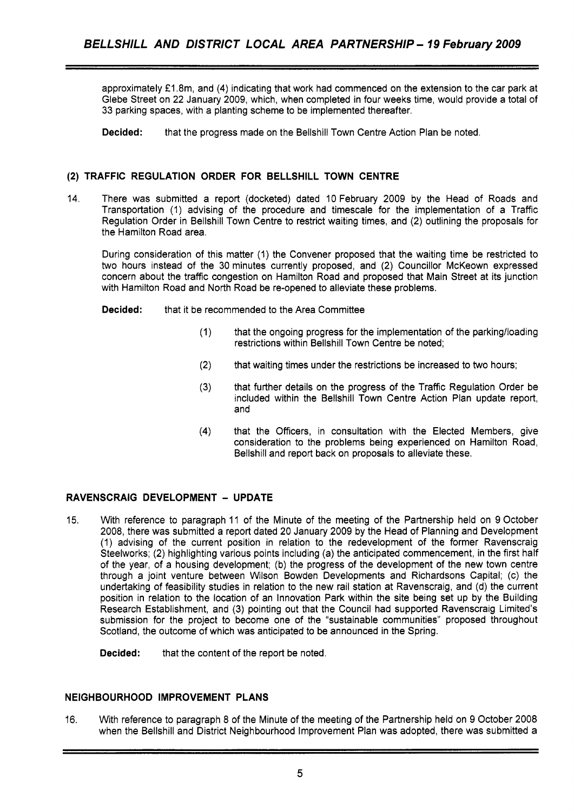approximately **f** 1.8m, and (4) indicating that work had commenced on the extension to the car park at Glebe Street on 22 January 2009, which, when completed in four weeks time, would provide a total of 33 parking spaces, with a planting scheme to be implemented thereafter.

**Decided:** that the progress made on the Bellshill Town Centre Action Plan be noted.

# **(2) TRAFFIC REGULATION ORDER FOR BELLSHILL TOWN CENTRE**

14. There was submitted a report (docketed) dated 10 February 2009 by the Head of Roads and Transportation (1) advising of the procedure and timescale for the implementation of a Traffic Regulation Order in Bellshill Town Centre to restrict waiting times, and (2) outlining the proposals for the Hamilton Road area.

During consideration of this matter (1) the Convener proposed that the waiting time be restricted to two hours instead of the 30 minutes currently proposed, and (2) Councillor McKeown expressed concern about the traffic congestion on Hamilton Road and proposed that Main Street at its junction with Hamilton Road and North Road be re-opened to alleviate these problems.

**Decided:** that it be recommended to the Area Committee

- (1) that the ongoing progress for the implementation of the parkinglloading restrictions within Bellshill Town Centre be noted;
- **(2)** that waiting times under the restrictions be increased to two hours;
- (3) that further details on the progress of the Traffic Regulation Order be included within the Bellshill Town Centre Action Plan update report, and
- (4) that the Officers, in consultation with the Elected Members, give consideration to the problems being experienced on Hamilton Road, Bellshill and report back on proposals to alleviate these.

# **RAVENSCRAIG DEVELOPMENT** - **UPDATE**

- 15. With reference to paragraph 11 of the Minute of the meeting of the Partnership held on 9 October 2008, there was submitted a report dated 20 January 2009 by the Head of Planning and Development (1) advising of the current position in relation to the redevelopment of the former Ravenscraig Steelworks; (2) highlighting various points including (a) the anticipated commencement, in the first half of the year, of a housing development; (b) the progress of the development of the new town centre through a joint venture between Wilson Bowden Developments and Richardsons Capital; (c) the undertaking of feasibility studies in relation to the new rail station at Ravenscraig, and (d) the current position in relation to the location of an Innovation Park within the site being set up by the Building Research Establishment, and (3) pointing out that the Council had supported Ravenscraig Limited's submission for the project to become one of the "sustainable communities" proposed throughout Scotland, the outcome of which was anticipated to be announced in the Spring.
	- **Decided:** that the content of the report be noted.

# **NEIGHBOURHOOD IMPROVEMENT PLANS**

16. With reference to paragraph 8 of the Minute of the meeting of the Partnership held on 9 October 2008 when the Bellshill and District Neighbourhood Improvement Plan was adopted, there was submitted **a**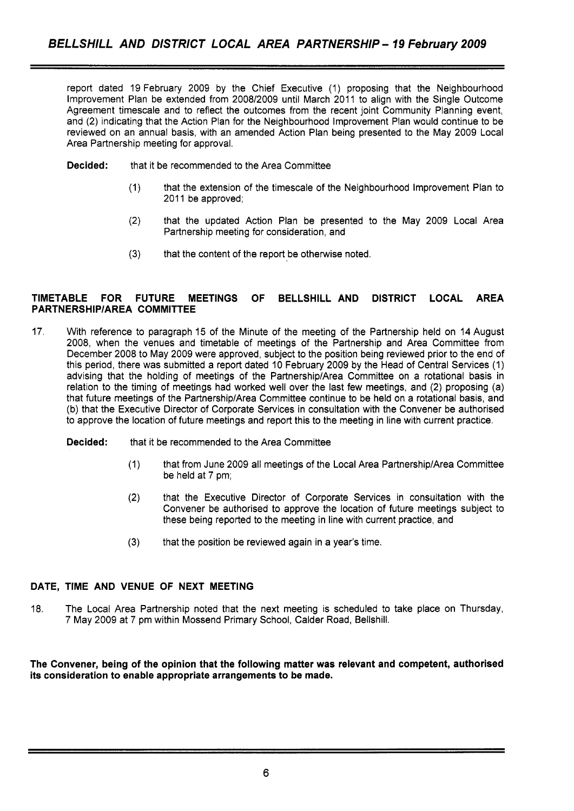report dated 19 February 2009 by the Chief Executive (1) proposing that the Neighbourhood Improvement Plan be extended from 2008/2009 until March 2011 to align with the Single Outcome Agreement timescale and to reflect the outcomes from the recent joint Community Planning event, and (2) indicating that the Action Plan for the Neighbourhood Improvement Plan would continue to be reviewed on an annual basis, with an amended Action Plan being presented to the May 2009 Local Area Partnership meeting for approval.

- **Decided:** that it be recommended to the Area Committee
	- (1) that the extension of the timescale of the Neighbourhood Improvement Plan to 2011 be approved;
	- (2) that the updated Action Plan be presented to the May 2009 Local Area Partnership meeting for consideration, and
	- **(3)** that the content of the report be otherwise noted.

# **TIMETABLE FOR FUTURE MEETINGS OF BELLSHILL AND DISTRICT LOCAL AREA PARTNERSHlPlAREA COMMITTEE**

- 17. With reference to paragraph 15 of the Minute of the meeting of the Partnership held on 14 August 2008, when the venues and timetable of meetings of the Partnership and Area Committee from December 2008 to May 2009 were approved, subject to the position being reviewed prior to the end of this period, there was submitted a report dated 10 February 2009 by the Head of Central Services (1) advising that the holding of meetings of the PartnershiplArea Committee on a rotational basis in relation to the timing of meetings had worked well over the last few meetings, and (2) proposing (a) that future meetings of the Partnership/Area Committee continue to be held on a rotational basis, and (b) that the Executive Director of Corporate Services in consultation with the Convener be authorised to approve the location of future meetings and report this to the meeting in line with current practice.
	- **Decided:** that it be recommended to the Area Committee
		- (1) that from June 2009 all meetings of the Local Area Partnership/Area Committee be held at 7 pm;
		- (2) that the Executive Director of Corporate Services in consultation with the Convener be authorised to approve the location of future meetings subject to these being reported to the meeting in line with current practice, and
		- **(3)** that the position be reviewed again in a year's time.

# **DATE, TIME AND VENUE OF NEXT MEETING**

18. The Local Area Partnership noted that the next meeting is scheduled to take place on Thursday, 7 May 2009 at 7 pm within Mossend Primary School, Calder Road, Bellshill.

**The Convener, being of the opinion that the following matter was relevant and competent, authorised its consideration to enable appropriate arrangements to be made.**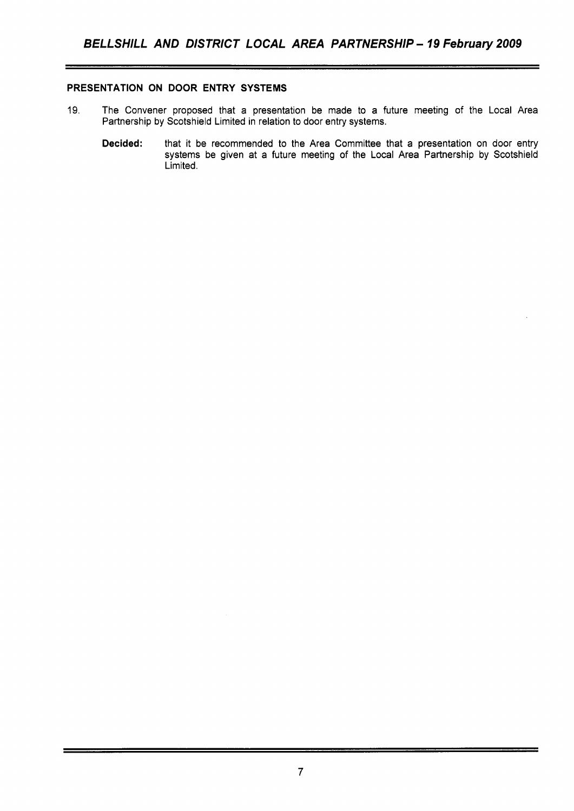# **PRESENTATION ON DOOR ENTRY SYSTEMS**

- 19. The Convener proposed that a presentation be made to a future meeting of the Local Area Partnership by Scotshield Limited in relation to door entry systems.
	- **Decided:** that it be recommended to the Area Committee that a presentation on door entry systems be given at a future meeting of the Local Area Partnership by Scotshield Limited.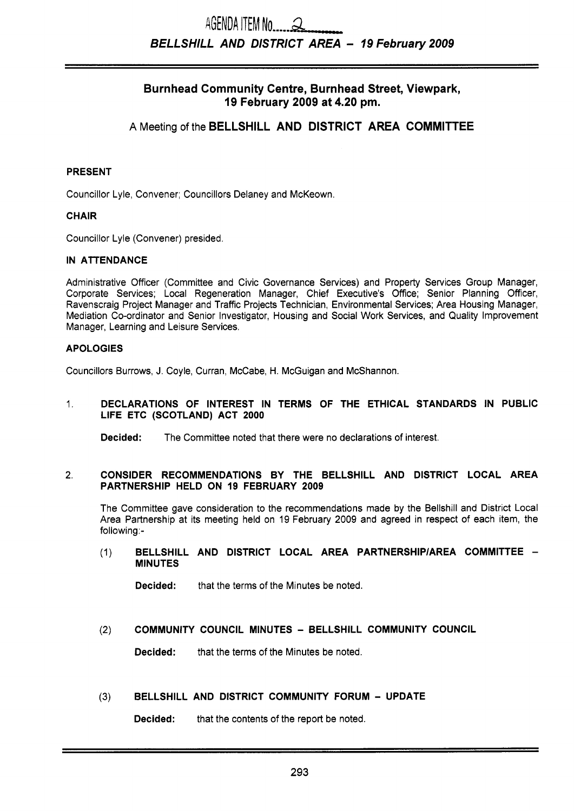# AGENDA ITEM No  $\alpha$ *BELLSHILL AND DISTRICT AREA* - *19 February 2009*

# Burnhead Community Centre, Burnhead Street, Viewpark, **19** February **2009** at **4.20** pm.

# **A** Meeting of the BELLSHILL AND DISTRICT AREA COMMITTEE

# PRESENT

Councillor Lyle, Convener; Councillors Delaney and McKeown.

# CHAIR

Councillor Lyle (Convener) presided

# IN ATTENDANCE

Administrative Officer (Committee and Civic Governance Services) and Property Services Group Manager, Corporate Services; Local Regeneration Manager, Chief Executive's Office; Senior Planning Officer, Ravenscraig Project Manager and Traffic Projects Technician, Environmental Services; Area Housing Manager, Mediation Co-ordinator and Senior Investigator, Housing and Social Work Services, and Quality Improvement Manager, Learning and Leisure Services.

# APOLOGIES

Councillors Burrows, J. Coyle, Curran, McCabe, H. McGuigan and McShannon.

## 1. DECLARATIONS OF INTEREST IN TERMS OF THE ETHICAL STANDARDS IN PUBLIC LIFE ETC (SCOTLAND) ACT **2000**

Decided: The Committee noted that there were no declarations of interest.

#### 2. CONSIDER RECOMMENDATIONS BY THE BELLSHILL AND DISTRICT LOCAL AREA PARTNERSHIP HELD ON **19** FEBRUARY **2009**

The Committee gave consideration to the recommendations made by the Bellshill and District Local Area Partnership at its meeting held on 19 February 2009 and agreed in respect of each item, the following:-

(1) BELLSHILL AND DISTRICT LOCAL AREA PARTNERSHIP/AREA COMMITTEE -MINUTES

Decided: that the terms of the Minutes be noted.

# (2) COMMUNITY COUNCIL MINUTES - BELLSHILL COMMUNITY COUNCIL

Decided: that the terms of the Minutes be noted.

# **(3)** BELLSHILL AND DISTRICT COMMUNITY FORUM - UPDATE

Decided: that the contents of the report be noted.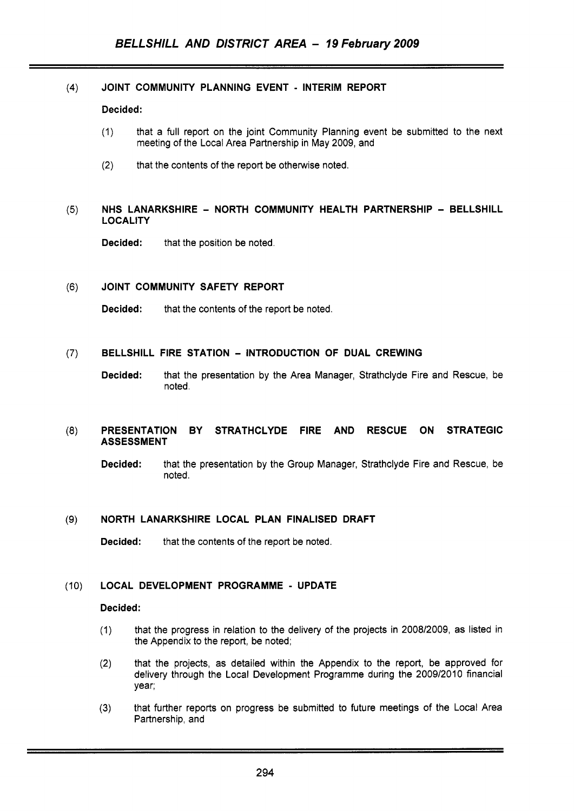#### $(4)$ JOINT COMMUNITY PLANNING EVENT - INTERIM REPORT

## Decided:

- (1) that a full report on the joint Community Planning event be submitted to the next meeting of the Local Area Partnership in May 2009, and
- (2) that the contents of the report be otherwise noted.

#### $(5)$ NHS LANARKSHIRE - NORTH COMMUNITY HEALTH PARTNERSHIP - BELLSHILL LOCALITY

Decided: that the position be noted.

#### $(6)$ JOINT COMMUNITY SAFETY REPORT

Decided: that the contents of the report be noted.

#### $(7)$ BELLSHILL FIRE STATION - INTRODUCTION OF DUAL CREWING

Decided: that the presentation by the Area Manager, Strathclyde Fire and Rescue, be noted.

#### $(8)$ PRESENTATION BY STRATHCLYDE FIRE AND RESCUE ON STRATEGIC ASSESSMENT

Decided: that the presentation by the Group Manager, Strathclyde Fire and Rescue, be noted.

#### NORTH LANARKSHIRE LOCAL PLAN FINALISED DRAFT  $(9)$

Decided: that the contents of the report be noted.

#### LOCAL DEVELOPMENT PROGRAMME - UPDATE  $(10)$

# Decided:

- (1) that the progress in relation to the delivery of the projects in 2008/2009, as listed in the Appendix to the report, be noted;
- (2) that the projects, as detailed within the Appendix to the report, be approved for delivery through the Local Development Programme during the 2009/2010 financial year;
- that further reports on progress be submitted to future meetings of the Local Area Partnership, and **(3)**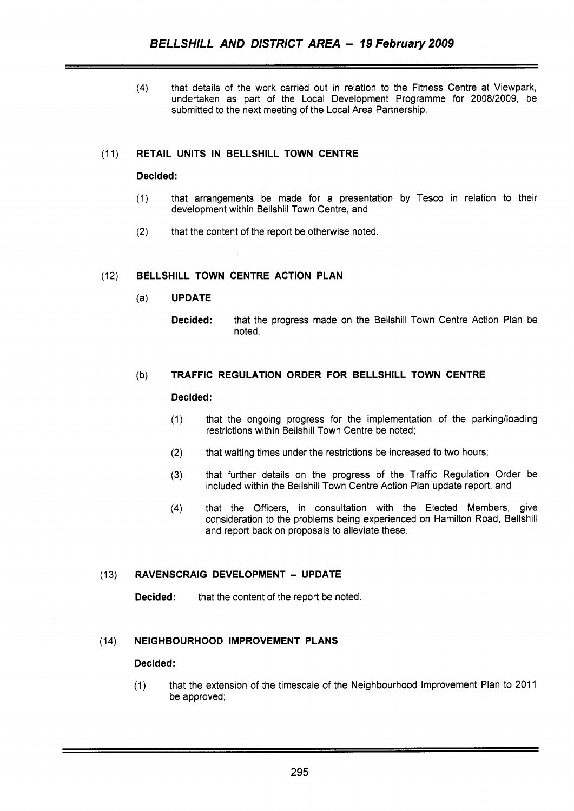**(4)** that details of the work carried out in relation to the Fitness Centre at Viewpark, undertaken as part of the Local Development Programme for 2008/2009, be submitted to the next meeting of the Local Area Partnership.

# (11) **RETAIL UNITS IN BELLSHILL TOWN CENTRE**

# **Decided:**

- (1) that arrangements be made for a presentation by Tesco in relation to their development within Bellshill Town Centre, and
- **(2)** that the content of the report be otherwise noted.

# (12) **BELLSHILL TOWN CENTRE ACTION PLAN**

- (a) **UPDATE** 
	- **Decided:** that the progress made on the Bellshill Town Centre Action Plan be noted.

# (b) **TRAFFIC REGULATION ORDER FOR BELLSHILL TOWN CENTRE**

# **Decided:**

- (1) that the ongoing progress for the implementation of the parkinglloading restrictions within Bellshill Town Centre be noted;
- (2) that waiting times under the restrictions be increased to two hours;
- **(3)** that further details on the progress of the Traffic Regulation Order be included within the Bellshill Town Centre Action Plan update report, and
- **(4)** that the Officers, in consultation with the Elected Members, give consideration to the problems being experienced on Hamilton Road, Bellshill and report back on proposals to alleviate these.

# (13) **RAVENSCRAIG DEVELOPMENT** - **UPDATE**

**Decided:** that the content of the report be noted.

# (14) **NEIGHBOURHOOD IMPROVEMENT PLANS**

# **Decided:**

(1) that the extension of the timescale of the Neighbourhood Improvement Plan to 2011 be approved;